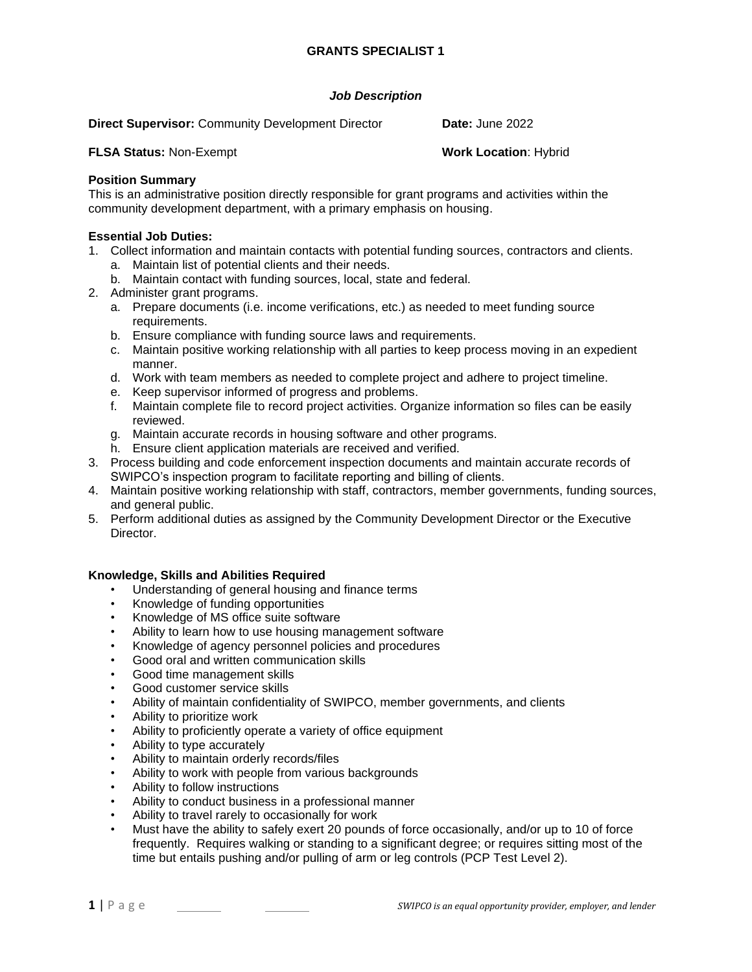# *Job Description*

**Direct Supervisor:** Community Development Director **Date:** June 2022

**FLSA Status:** Non-Exempt **Work Location**: Hybrid

### **Position Summary**

This is an administrative position directly responsible for grant programs and activities within the community development department, with a primary emphasis on housing.

### **Essential Job Duties:**

- 1. Collect information and maintain contacts with potential funding sources, contractors and clients.
	- a. Maintain list of potential clients and their needs.
	- b. Maintain contact with funding sources, local, state and federal.
- 2. Administer grant programs.
	- a. Prepare documents (i.e. income verifications, etc.) as needed to meet funding source requirements.
	- b. Ensure compliance with funding source laws and requirements.
	- c. Maintain positive working relationship with all parties to keep process moving in an expedient manner.
	- d. Work with team members as needed to complete project and adhere to project timeline.
	- e. Keep supervisor informed of progress and problems.
	- f. Maintain complete file to record project activities. Organize information so files can be easily reviewed.
	- g. Maintain accurate records in housing software and other programs.
	- h. Ensure client application materials are received and verified.
- 3. Process building and code enforcement inspection documents and maintain accurate records of SWIPCO's inspection program to facilitate reporting and billing of clients.
- 4. Maintain positive working relationship with staff, contractors, member governments, funding sources, and general public.
- 5. Perform additional duties as assigned by the Community Development Director or the Executive Director.

# **Knowledge, Skills and Abilities Required**

- Understanding of general housing and finance terms
- Knowledge of funding opportunities
- Knowledge of MS office suite software
- Ability to learn how to use housing management software
- Knowledge of agency personnel policies and procedures
- Good oral and written communication skills
- Good time management skills
- Good customer service skills
- Ability of maintain confidentiality of SWIPCO, member governments, and clients
- Ability to prioritize work
- Ability to proficiently operate a variety of office equipment
- Ability to type accurately
- Ability to maintain orderly records/files
- Ability to work with people from various backgrounds
- Ability to follow instructions
- Ability to conduct business in a professional manner
- Ability to travel rarely to occasionally for work
- Must have the ability to safely exert 20 pounds of force occasionally, and/or up to 10 of force frequently. Requires walking or standing to a significant degree; or requires sitting most of the time but entails pushing and/or pulling of arm or leg controls (PCP Test Level 2).